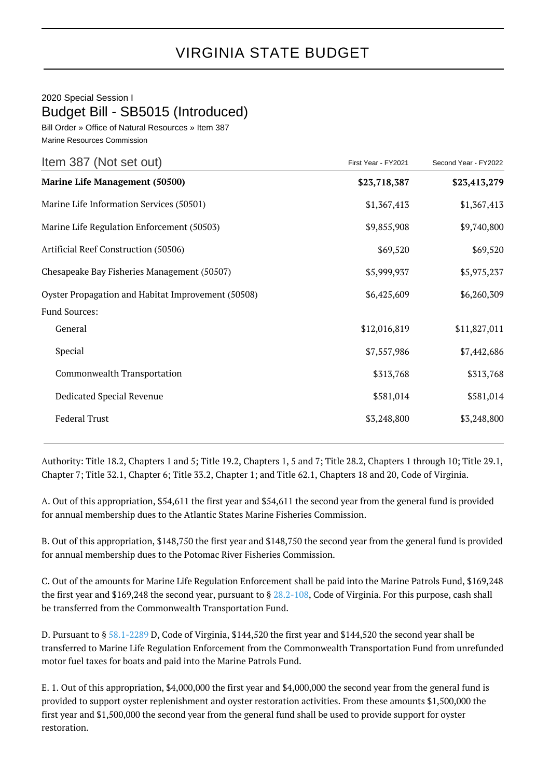## VIRGINIA STATE BUDGET

## 2020 Special Session I Budget Bill - SB5015 (Introduced)

Bill Order » Office of Natural Resources » Item 387 Marine Resources Commission

| Item 387 (Not set out)                             | First Year - FY2021 | Second Year - FY2022 |
|----------------------------------------------------|---------------------|----------------------|
| <b>Marine Life Management (50500)</b>              | \$23,718,387        | \$23,413,279         |
| Marine Life Information Services (50501)           | \$1,367,413         | \$1,367,413          |
| Marine Life Regulation Enforcement (50503)         | \$9,855,908         | \$9,740,800          |
| Artificial Reef Construction (50506)               | \$69,520            | \$69,520             |
| Chesapeake Bay Fisheries Management (50507)        | \$5,999,937         | \$5,975,237          |
| Oyster Propagation and Habitat Improvement (50508) | \$6,425,609         | \$6,260,309          |
| <b>Fund Sources:</b>                               |                     |                      |
| General                                            | \$12,016,819        | \$11,827,011         |
| Special                                            | \$7,557,986         | \$7,442,686          |
| Commonwealth Transportation                        | \$313,768           | \$313,768            |
| Dedicated Special Revenue                          | \$581,014           | \$581,014            |
| <b>Federal Trust</b>                               | \$3,248,800         | \$3,248,800          |
|                                                    |                     |                      |

Authority: Title 18.2, Chapters 1 and 5; Title 19.2, Chapters 1, 5 and 7; Title 28.2, Chapters 1 through 10; Title 29.1, Chapter 7; Title 32.1, Chapter 6; Title 33.2, Chapter 1; and Title 62.1, Chapters 18 and 20, Code of Virginia.

A. Out of this appropriation, \$54,611 the first year and \$54,611 the second year from the general fund is provided for annual membership dues to the Atlantic States Marine Fisheries Commission.

B. Out of this appropriation, \$148,750 the first year and \$148,750 the second year from the general fund is provided for annual membership dues to the Potomac River Fisheries Commission.

C. Out of the amounts for Marine Life Regulation Enforcement shall be paid into the Marine Patrols Fund, \$169,248 the first year and \$169,248 the second year, pursuant to § [28.2-108,](http://law.lis.virginia.gov/vacode/28.2-108/) Code of Virginia. For this purpose, cash shall be transferred from the Commonwealth Transportation Fund.

D. Pursuant to § [58.1-2289](http://law.lis.virginia.gov/vacode/58.1-2289/) D, Code of Virginia, \$144,520 the first year and \$144,520 the second year shall be transferred to Marine Life Regulation Enforcement from the Commonwealth Transportation Fund from unrefunded motor fuel taxes for boats and paid into the Marine Patrols Fund.

E. 1. Out of this appropriation, \$4,000,000 the first year and \$4,000,000 the second year from the general fund is provided to support oyster replenishment and oyster restoration activities. From these amounts \$1,500,000 the first year and \$1,500,000 the second year from the general fund shall be used to provide support for oyster restoration.